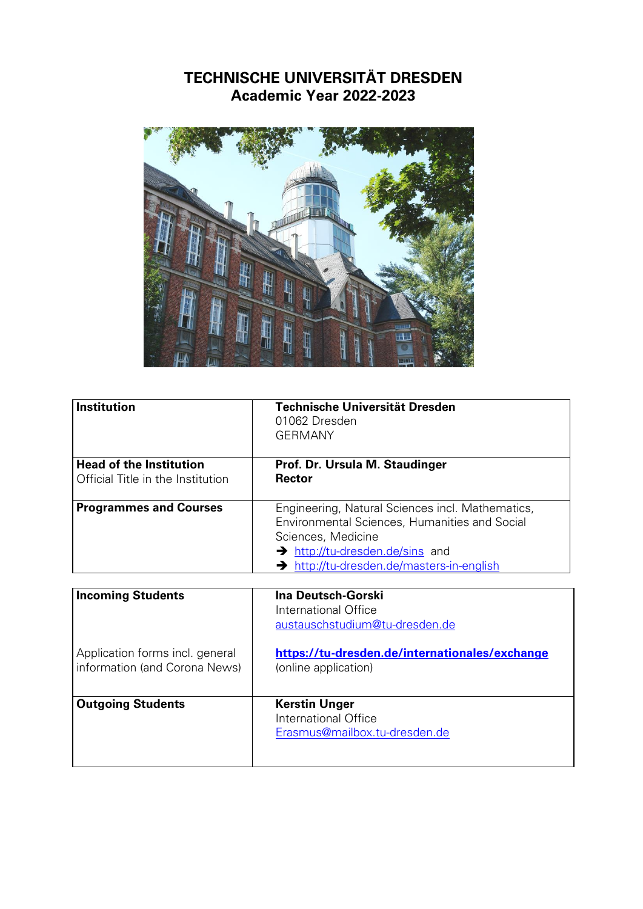## **TECHNISCHE UNIVERSITÄT DRESDEN Academic Year 2022-2023**



| <b>Institution</b>                                                  | Technische Universität Dresden<br>01062 Dresden<br><b>GERMANY</b>                                                                                                                                                          |
|---------------------------------------------------------------------|----------------------------------------------------------------------------------------------------------------------------------------------------------------------------------------------------------------------------|
| <b>Head of the Institution</b><br>Official Title in the Institution | Prof. Dr. Ursula M. Staudinger<br><b>Rector</b>                                                                                                                                                                            |
| <b>Programmes and Courses</b>                                       | Engineering, Natural Sciences incl. Mathematics,<br><b>Environmental Sciences, Humanities and Social</b><br>Sciences, Medicine<br>$\rightarrow$ http://tu-dresden.de/sins and<br>> http://tu-dresden.de/masters-in-english |

| <b>Incoming Students</b>                                         | Ina Deutsch-Gorski<br>International Office<br>austauschstudium@tu-dresden.de  |
|------------------------------------------------------------------|-------------------------------------------------------------------------------|
| Application forms incl. general<br>information (and Corona News) | https://tu-dresden.de/internationales/exchange<br>(online application)        |
| <b>Outgoing Students</b>                                         | <b>Kerstin Unger</b><br>International Office<br>Erasmus@mailbox.tu-dresden.de |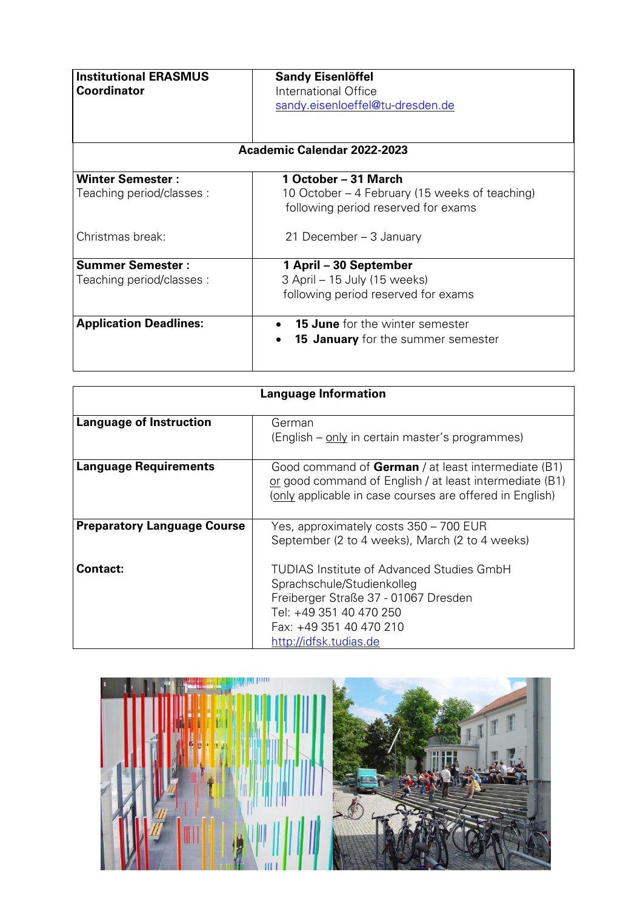| <b>Institutional ERASMUS</b><br><b>Coordinator</b>   | <b>Sandy Eisenlöffel</b><br>International Office<br>sandy.eisenloeffel@tu-dresden.de<br>Academic Calendar 2022-2023 |
|------------------------------------------------------|---------------------------------------------------------------------------------------------------------------------|
| <b>Winter Semester:</b><br>Teaching period/classes : | 1 October – 31 March<br>10 October – 4 February (15 weeks of teaching)<br>following period reserved for exams       |
| Christmas break:                                     | 21 December – 3 January                                                                                             |
| <b>Summer Semester:</b>                              | 1 April – 30 September                                                                                              |
| Teaching period/classes:                             | 3 April – 15 July (15 weeks)                                                                                        |
|                                                      | following period reserved for exams                                                                                 |
| <b>Application Deadlines:</b>                        | <b>15 June</b> for the winter semester<br><b>15 January</b> for the summer semester                                 |

| <b>Language Information</b>        |                                                                                                                                                                                                 |
|------------------------------------|-------------------------------------------------------------------------------------------------------------------------------------------------------------------------------------------------|
| <b>Language of Instruction</b>     | German<br>(English – only in certain master's programmes)                                                                                                                                       |
| <b>Language Requirements</b>       | Good command of <b>German</b> / at least intermediate (B1)<br>or good command of English / at least intermediate (B1)<br>(only applicable in case courses are offered in English)               |
| <b>Preparatory Language Course</b> | Yes, approximately costs 350 – 700 EUR<br>September (2 to 4 weeks), March (2 to 4 weeks)                                                                                                        |
| <b>Contact:</b>                    | TUDIAS Institute of Advanced Studies GmbH<br>Sprachschule/Studienkolleg<br>Freiberger Straße 37 - 01067 Dresden<br>Tel: +49 351 40 470 250<br>Fax: +49 351 40 470 210<br>http://idfsk.tudias.de |